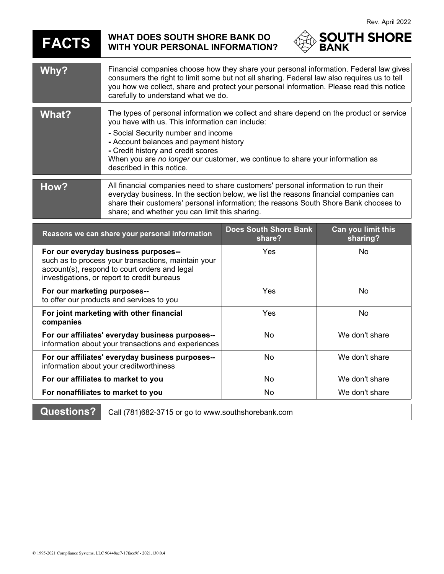**FACTS WHAT DOES SOUTH SHORE BANK DO WITH YOUR PERSONAL INFORMATION?**



| Why?  | Financial companies choose how they share your personal information. Federal law gives<br>consumers the right to limit some but not all sharing. Federal law also requires us to tell<br>you how we collect, share and protect your personal information. Please read this notice<br>carefully to understand what we do.                                                        |
|-------|---------------------------------------------------------------------------------------------------------------------------------------------------------------------------------------------------------------------------------------------------------------------------------------------------------------------------------------------------------------------------------|
| What? | The types of personal information we collect and share depend on the product or service<br>you have with us. This information can include:<br>- Social Security number and income<br>- Account balances and payment history<br>- Credit history and credit scores<br>When you are no longer our customer, we continue to share your information as<br>described in this notice. |
| How?  | All financial companies need to share customers' personal information to run their<br>everyday business. In the section below, we list the reasons financial companies can<br>share their customers' personal information; the reasons South Shore Bank chooses to<br>share; and whether you can limit this sharing.                                                            |

| Reasons we can share your personal information                                                                                                                                              | <b>Does South Shore Bank</b><br>share? | Can you limit this<br>sharing? |
|---------------------------------------------------------------------------------------------------------------------------------------------------------------------------------------------|----------------------------------------|--------------------------------|
| For our everyday business purposes--<br>such as to process your transactions, maintain your<br>account(s), respond to court orders and legal<br>investigations, or report to credit bureaus | Yes                                    | No.                            |
| For our marketing purposes--<br>to offer our products and services to you                                                                                                                   | Yes                                    | No                             |
| For joint marketing with other financial<br>companies                                                                                                                                       | Yes                                    | No                             |
| For our affiliates' everyday business purposes--<br>information about your transactions and experiences                                                                                     | <b>No</b>                              | We don't share                 |
| For our affiliates' everyday business purposes--<br>information about your creditworthiness                                                                                                 | No                                     | We don't share                 |
| For our affiliates to market to you                                                                                                                                                         | <b>No</b>                              | We don't share                 |
| For nonaffiliates to market to you                                                                                                                                                          | No                                     | We don't share                 |

**Questions?** Call (781)682-3715 or go to www.southshorebank.com